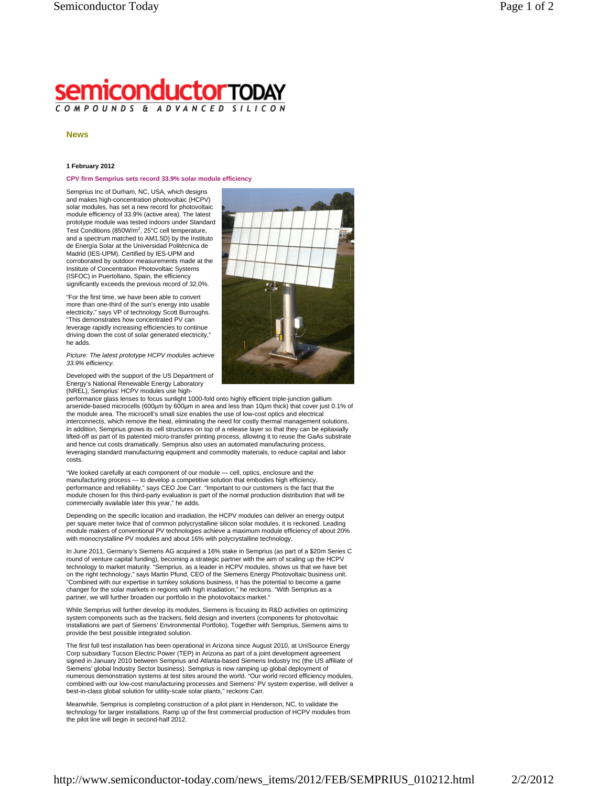## **semiconductorTODAY** COMPOUNDS & ADVANCED SILIC

## **News**

## **1 February 2012**

## **CPV firm Semprius sets record 33.9% solar module efficiency**

Semprius Inc of Durham, NC, USA, which designs and makes high-concentration photovoltaic (HCPV) solar modules, has set a new record for photovoltaic module efficiency of 33.9% (active area). The latest prototype module was tested indoors under Standard Test Conditions (850W/m<sup>2</sup>, 25°C cell temperature, and a spectrum matched to AM1.5D) by the Instituto de Energía Solar at the Universidad Politécnica de Madrid (IES-UPM). Certified by IES-UPM and corroborated by outdoor measurements made at the Institute of Concentration Photovoltaic Systems (ISFOC) in Puertollano, Spain, the efficiency significantly exceeds the previous record of 32.0%.

"For the first time, we have been able to convert more than one-third of the sun's energy into usable electricity," says VP of technology Scott Burroughs. "This demonstrates how concentrated PV can leverage rapidly increasing efficiencies to continue driving down the cost of solar generated electricity," he adds.

*Picture: The latest prototype HCPV modules achieve 33.9% efficiency.* 

Developed with the support of the US Department of Energy's National Renewable Energy Laboratory (NREL), Semprius' HCPV modules use high-

performance glass lenses to focus sunlight 1000-fold onto highly efficient triple-junction gallium arsenide-based microcells (600µm by 600µm in area and less than 10µm thick) that cover just 0.1% of the module area. The microcell's small size enables the use of low-cost optics and electrical interconnects, which remove the heat, eliminating the need for costly thermal management solutions. In addition, Semprius grows its cell structures on top of a release layer so that they can be epitaxially lifted-off as part of its patented micro-transfer printing process, allowing it to reuse the GaAs substrate and hence cut costs dramatically. Semprius also uses an automated manufacturing process, leveraging standard manufacturing equipment and commodity materials, to reduce capital and labor costs.

"We looked carefully at each component of our module — cell, optics, enclosure and the manufacturing process — to develop a competitive solution that embodies high efficiency, performance and reliability," says CEO Joe Carr. "Important to our customers is the fact that the module chosen for this third-party evaluation is part of the normal production distribution that will be commercially available later this year," he adds.

Depending on the specific location and irradiation, the HCPV modules can deliver an energy output per square meter twice that of common polycrystalline silicon solar modules, it is reckoned. Leading module makers of conventional PV technologies achieve a maximum module efficiency of about 20% with monocrystalline PV modules and about 16% with polycrystalline technology.

In June 2011, Germany's Siemens AG acquired a 16% stake in Semprius (as part of a \$20m Series C round of venture capital funding), becoming a strategic partner with the aim of scaling up the HCPV technology to market maturity. "Semprius, as a leader in HCPV modules, shows us that we have bet on the right technology," says Martin Pfund, CEO of the Siemens Energy Photovoltaic business unit. "Combined with our expertise in turnkey solutions business, it has the potential to become a game changer for the solar markets in regions with high irradiation," he reckons. "With Semprius as a partner, we will further broaden our portfolio in the photovoltaics market."

While Semprius will further develop its modules, Siemens is focusing its R&D activities on optimizing system components such as the trackers, field design and inverters (components for photovoltaic installations are part of Siemens' Environmental Portfolio). Together with Semprius, Siemens aims to provide the best possible integrated solution.

The first full test installation has been operational in Arizona since August 2010, at UniSource Energy Corp subsidiary Tucson Electric Power (TEP) in Arizona as part of a joint development agreement signed in January 2010 between Semprius and Atlanta-based Siemens Industry Inc (the US affiliate of Siemens' global Industry Sector business). Semprius is now ramping up global deployment of numerous demonstration systems at test sites around the world. "Our world record efficiency modules, combined with our low-cost manufacturing processes and Siemens' PV system expertise, will deliver a best-in-class global solution for utility-scale solar plants," reckons Carr.

Meanwhile, Semprius is completing construction of a pilot plant in Henderson, NC, to validate the technology for larger installations. Ramp up of the first commercial production of HCPV modules from the pilot line will begin in second-half 2012.